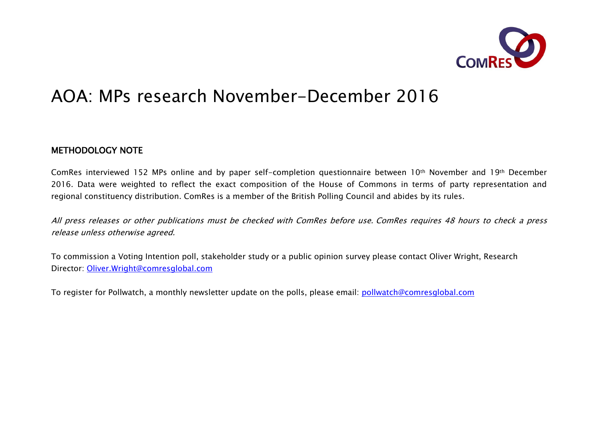

# AOA: MPs research November-December 2016

## METHODOLOGY NOTE

ComRes interviewed 152 MPs online and by paper self-completion questionnaire between 10th November and 19th December 2016. Data were weighted to reflect the exact composition of the House of Commons in terms of party representation and regional constituency distribution. ComRes is a member of the British Polling Council and abides by its rules.

All press releases or other publications must be checked with ComRes before use. ComRes requires 48 hours to check a press release unless otherwise agreed.

To commission a Voting Intention poll, stakeholder study or a public opinion survey please contact Oliver Wright, Research Director: Oliver.Wright@comresglobal.com

To register for Pollwatch, a monthly newsletter update on the polls, please email: pollwatch@comresglobal.com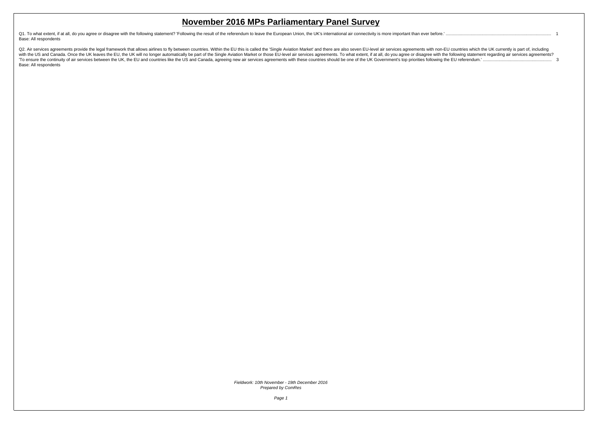Q1. To what extent, if at all, do you agree or disagree with the following statement? 'Following the result of the referendum to leave the European Union, the UK's international air connectivity is more important than ever [Base: All respondents](#page-2-0)

Q2. Air services agreements provide the legal framework that allows airlines to fly between countries. Within the EU this is called the 'Single Aviation Market' and there are also seven EU-level air services agreements wit To ensure the continuity of air services between the UK, the EU and countries like the US and Canada, agreeing new air services agreements with these countries should be one of the UK Government's top priorities following [Base: All respondents](#page-4-0)

> Fieldwork: 10th November - 19th December 2016 Prepared by ComRes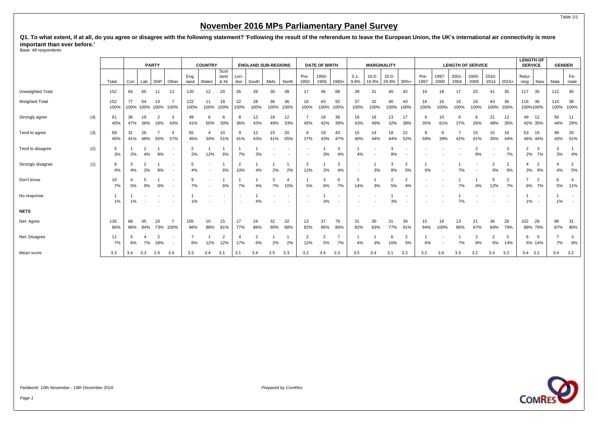<span id="page-2-0"></span>Q1. To what extent, if at all, do you agree or disagree with the following statement? 'Following the result of the referendum to leave the European Union, the UK's international air connectivity is more **important than ever before.'** Base: All respondents

|                   |     |             |           |                      | <b>PARTY</b>         |                            |                      | <b>COUNTRY</b>           |                       |             | <b>ENGLAND SUB-REGIONS</b> |            |            | <b>DATE OF BIRTH</b>  |               |            | <b>MARGINALITY</b>                                   |                   |                   |                                                      | <b>LENGTH OF SERVICE</b> |               |                  |               |                      |                      | <b>LENGTH OF</b><br><b>SERVICE</b>                         |             | <b>GENDER</b>                      |  |
|-------------------|-----|-------------|-----------|----------------------|----------------------|----------------------------|----------------------|--------------------------|-----------------------|-------------|----------------------------|------------|------------|-----------------------|---------------|------------|------------------------------------------------------|-------------------|-------------------|------------------------------------------------------|--------------------------|---------------|------------------|---------------|----------------------|----------------------|------------------------------------------------------------|-------------|------------------------------------|--|
|                   |     | Total       | Con       | Lab                  | SNP                  | Other                      | Eng<br>-land         | Wales                    | Scot<br>land<br>& NI  | Lon-<br>don | South                      | Mids       | North      | Pre-<br>1950          | 1950-<br>1959 | 1960+      | $0.1 -$<br>9.9%                                      | $10.0 -$<br>19.9% | $20.0 -$<br>29.9% | $30% +$                                              | Pre-<br>1997             | 1997-<br>2000 | $2001 -$<br>2004 | 2005-<br>2009 | 2010-<br>2014        | $2015+$              | Retur<br>ning<br>New                                       | Male        | Fe-<br>male                        |  |
| Unweighted Total  |     | 152         | 64        | 65                   | 11                   | 12                         | 120                  | 12                       | 20                    | 26          | 26                         | 30         | 38         | 17                    | 46            | 88         | 39                                                   | 31                | 40                | 42                                                   | 16                       | 18            | 17               | 25            | 41                   | 35                   | 117<br>35                                                  | 112         | 40                                 |  |
| Weighted Total    |     | 152<br>100% | 77        | 54                   | 13<br>100% 100% 100% | $\overline{ }$<br>100%     | 122<br>100%          | 11<br>100%               | 19<br>100%            | 22<br>100%  | 28<br>100%                 | 36<br>100% | 36<br>100% | 16<br>100%            | 43<br>100%    | 92<br>100% | 37<br>100%                                           | 32<br>100%        | 40<br>100%        | 43<br>100%                                           | 16<br>100%               | 16<br>100%    | 16<br>100%       | 24<br>100%    | 43<br>100%           | 36<br>100%           | 36<br>116<br>100%100%                                      | 114<br>100% | 38<br>100%                         |  |
| Strongly agree    | (4) | 61<br>40%   | 36<br>47% | 19<br>36%            | 2<br>18%             | 3<br>43%                   | 49<br>41%            | 6<br>55%                 | 6<br>30%              | 36%         | 12<br>43%                  | 18<br>49%  | 12<br>33%  | 45%                   | 18<br>42%     | 36<br>39%  | 16<br>43%                                            | 16<br>49%         | 13<br>32%         | 17<br>39%                                            | 6<br>35%                 | 10<br>61%     | 6<br>37%         | 6<br>26%      | 21<br>48%            | 12<br>35%            | 49<br>12<br>42% 35%                                        | 50<br>44%   | 11<br>29%                          |  |
| Tend to agree     | (3) | 69<br>45%   | 31<br>41% | 26<br>48%            | 55%                  | 4<br>57%                   | 55<br>45%            | 34%                      | 10<br>51%             | 41%         | 12<br>43%                  | 15<br>41%  | 20<br>55%  | 6<br>37%              | 19<br>43%     | 43<br>47%  | 15<br>40%                                            | 14<br>44%         | 18<br>44%         | 22<br>52%                                            | 9<br>59%                 | 6<br>39%      | 42%              | 15<br>61%     | 15<br>35%            | 16<br>44%            | 53<br>16<br>46% 44%                                        | 49<br>43%   | 20<br>51%                          |  |
| Tend to disagree  | (2) | 5<br>3%     | 2%        | $\overline{2}$<br>4% | 9%                   | $\overline{\phantom{a}}$   | $\overline{2}$<br>2% | 12%                      | 6%                    | 7%          | 3%                         |            |            |                       | 3%            | 3<br>4%    | 4%                                                   |                   | 8%                | $\overline{\phantom{a}}$                             |                          |               |                  | 2<br>8%       |                      | 3<br>7%              | $\overline{2}$<br>3<br>7%<br>2%                            | 3%          | 4%                                 |  |
| Strongly disagree | (1) | 6<br>4%     | 3<br>4%   | $\overline{2}$<br>3% | 9%                   |                            | 5<br>4%              |                          | 6%                    | 10%         | 4%                         | 2%         | 2%         | $\overline{2}$<br>12% | 2%            | 3<br>4%    | $\overline{\phantom{a}}$<br>$\overline{\phantom{a}}$ | 3%                | 3<br>8%           | $\overline{2}$<br>5%                                 | 6%                       |               | 7%               |               | $\overline{2}$<br>5% | $\overline{2}$<br>6% | $\overline{2}$<br>3%<br>6%                                 | 4%          | $\overline{2}$<br>5%               |  |
| Don't know        |     | 10<br>7%    | 5%        | 5<br>9%              | 9%                   | $\sim$                     | $\mathbf{Q}$<br>7%   | $\overline{\phantom{a}}$ | 6%                    | 7%          | 4%                         | 3<br>7%    | 10%        | 5%                    | 6%            | 6<br>7%    | 5<br>14%                                             | 3%                | 5%                | $\overline{2}$<br>4%                                 |                          |               | 7%               | 4%            | 5<br>12%             | $\overline{2}$<br>7% | $\overline{2}$<br>7%<br>6%                                 | 5%          | $\overline{4}$<br>11%              |  |
| No response       |     | 1%          | 1%        |                      |                      |                            | 1%                   |                          |                       |             | 4%                         |            |            |                       | 3%            |            |                                                      |                   | 3%                | $\overline{\phantom{a}}$<br>$\overline{\phantom{a}}$ |                          |               | 7%               |               |                      |                      | $\overline{\phantom{a}}$<br>1%<br>$\overline{\phantom{a}}$ | 1%          | $\overline{\phantom{a}}$<br>$\sim$ |  |
| <b>NETS</b>       |     |             |           |                      |                      |                            |                      |                          |                       |             |                            |            |            |                       |               |            |                                                      |                   |                   |                                                      |                          |               |                  |               |                      |                      |                                                            |             |                                    |  |
| Net: Agree        |     | 130<br>86%  | 68<br>88% | 45<br>84%            | 10                   | $\overline{7}$<br>73% 100% | 105<br>86%           | 10<br>88%                | 15<br>81%             | 17<br>77%   | 24<br>86%                  | 32<br>90%  | 32<br>88%  | 13<br>82%             | 37<br>86%     | 79<br>86%  | 31<br>82%                                            | 30<br>93%         | 31<br>77%         | 39<br>91%                                            | 15<br>94%                | 16<br>100%    | 13<br>80%        | 21<br>87%     | 36<br>84%            | 28<br>79%            | 28<br>102<br>88% 79%                                       | 99<br>87%   | 31<br>80%                          |  |
| Net: Disagree     |     | 11<br>7%    | 5<br>6%   | 7%                   | 18%                  | $\overline{\phantom{0}}$   | 6%                   | 12%                      | $\overline{2}$<br>12% | 17%         | 2<br>6%                    | 2%         | 2%         | $\overline{2}$<br>12% | 5%            | 7<br>7%    | 4%                                                   | 3%                | -6<br>16%         | $\overline{2}$<br>5%                                 | 6%                       |               | 7%               | 2<br>8%       | $\overline{2}$<br>5% | 5<br>14%             | 5<br>6<br>5% 14%                                           | 7%          | 3<br>9%                            |  |
| Mean score        |     | 3.3         | 3.4       | 3.3                  | 2.9                  | 3.4                        | 3.3                  | 3.4                      | 3.1                   | 3.1         | 3.4                        | 3.5        | 3.3        | 3.2                   | 3.4           | 3.3        | 3.5                                                  | 3.4               | 3.1               | 3.3                                                  | 3.2                      | 3.6           | 3.3              | 3.2           | 3.4                  | 3.2                  | $3.4$ $3.2$                                                | 3.4         | 3.2                                |  |



Page 1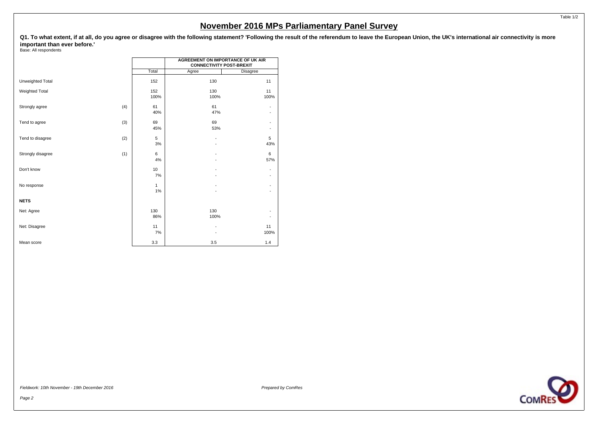Q1. To what extent, if at all, do you agree or disagree with the following statement? 'Following the result of the referendum to leave the European Union, the UK's international air connectivity is more **important than ever before.'**

Base: All respondents

|                       |     |                    | <b>AGREEMENT ON IMPORTANCE OF UK AIR</b><br><b>CONNECTIVITY POST-BREXIT</b> |                                                      |  |  |  |  |  |  |
|-----------------------|-----|--------------------|-----------------------------------------------------------------------------|------------------------------------------------------|--|--|--|--|--|--|
|                       |     | Total              | Agree                                                                       | Disagree                                             |  |  |  |  |  |  |
| Unweighted Total      |     | 152                | 130                                                                         | 11                                                   |  |  |  |  |  |  |
| <b>Weighted Total</b> |     | 152<br>100%        | 130<br>100%                                                                 | 11<br>100%                                           |  |  |  |  |  |  |
| Strongly agree        | (4) | 61<br>40%          | 61<br>47%                                                                   | -<br>٠                                               |  |  |  |  |  |  |
| Tend to agree         | (3) | 69<br>45%          | 69<br>53%                                                                   | ٠<br>$\overline{\phantom{a}}$                        |  |  |  |  |  |  |
| Tend to disagree      | (2) | 5<br>3%            | $\overline{\phantom{a}}$                                                    | 5<br>43%                                             |  |  |  |  |  |  |
| Strongly disagree     | (1) | 6<br>4%            |                                                                             | 6<br>57%                                             |  |  |  |  |  |  |
| Don't know            |     | 10<br>7%           |                                                                             | $\overline{\phantom{a}}$<br>$\overline{\phantom{a}}$ |  |  |  |  |  |  |
| No response           |     | $\mathbf{1}$<br>1% |                                                                             | $\overline{\phantom{a}}$<br>$\overline{\phantom{a}}$ |  |  |  |  |  |  |
| <b>NETS</b>           |     |                    |                                                                             |                                                      |  |  |  |  |  |  |
| Net: Agree            |     | 130<br>86%         | 130<br>100%                                                                 | ٠                                                    |  |  |  |  |  |  |
| Net: Disagree         |     | 11<br>7%           |                                                                             | 11<br>100%                                           |  |  |  |  |  |  |
| Mean score            |     | 3.3                | 3.5                                                                         | 1.4                                                  |  |  |  |  |  |  |

Fieldwork: 10th November - 19th December 2016 **Propared by ComPessaudic Executive ComPessaudic ComPessaudic ComPessaudic ComPessaudic ComPessaudic ComPessaudic ComPessaudic ComPessaudic ComPessaudic ComPessaudic ComPessaud**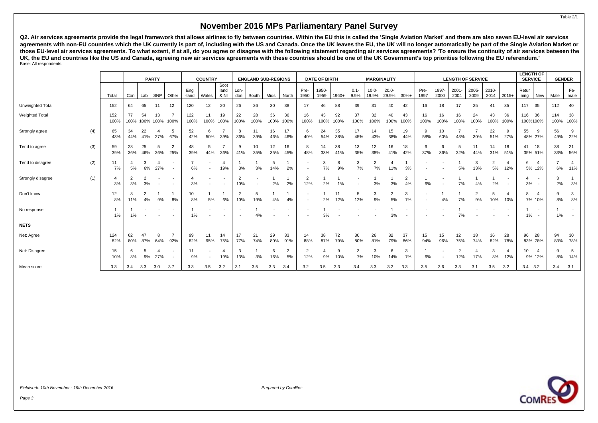<span id="page-4-0"></span>**Q2. Air services agreements provide the legal framework that allows airlines to fly between countries. Within the EU this is called the 'Single Aviation Market' and there are also seven EU-level air services agreements with non-EU countries which the UK currently is part of, including with the US and Canada. Once the UK leaves the EU, the UK will no longer automatically be part of the Single Aviation Market or those EU-level air services agreements. To what extent, if at all, do you agree or disagree with the following statement regarding air services agreements? 'To ensure the continuity of air services between the UK, the EU and countries like the US and Canada, agreeing new air services agreements with these countries should be one of the UK Government's top priorities following the EU referendum.'** Base: All respondents

|                       |     |                      |                      |                      | <b>PARTY</b>             |           | <b>COUNTRY</b> |                          |                                                      | <b>ENGLAND SUB-REGIONS</b> |                          |            | <b>DATE OF BIRTH</b> |                          |               | <b>MARGINALITY</b> |                                                      |                   |                   | <b>LENGTH OF SERVICE</b> |                |               |                       |               |                      |                          | <b>LENGTH OF</b><br><b>SERVICE</b> |                                    | <b>GENDER</b> |                       |
|-----------------------|-----|----------------------|----------------------|----------------------|--------------------------|-----------|----------------|--------------------------|------------------------------------------------------|----------------------------|--------------------------|------------|----------------------|--------------------------|---------------|--------------------|------------------------------------------------------|-------------------|-------------------|--------------------------|----------------|---------------|-----------------------|---------------|----------------------|--------------------------|------------------------------------|------------------------------------|---------------|-----------------------|
|                       |     | Total                | Con                  |                      | $Lab$ SNP                | Other     | Eng<br>-land   | Wales                    | Scot<br>land<br>& NI                                 | Lon-<br>don                | South                    | Mids       | North                | Pre-<br>1950             | 1950-<br>1959 | 1960+              | $0.1 -$<br>9.9%                                      | $10.0 -$<br>19.9% | $20.0 -$<br>29.9% | $30%+$                   | Pre-<br>1997   | 1997-<br>2000 | 2001-<br>2004         | 2005-<br>2009 | 2010-<br>2014        | $2015+$                  | Retur<br>ning                      | New                                | Male          | Fe-<br>male           |
| Unweighted Total      |     | 152                  | 64                   | 65                   | 11                       | 12        | 120            | 12                       | 20                                                   | 26                         | 26                       | 30         | 38                   | 17                       | 46            | 88                 | 39                                                   | 31                | 40                | 42                       | 16             | 18            | 17                    | 25            | 41                   | 35                       | 117                                | 35                                 | 112           | 40                    |
| <b>Weighted Total</b> |     | 152<br>100%          | 77                   | 54<br>100% 100%      | 13                       | 100% 100% | 122<br>100%    | 11<br>100%               | 19<br>100%                                           | 22<br>100%                 | 28<br>100%               | 36<br>100% | 36<br>100%           | 16<br>100%               | 43<br>100%    | 92<br>100%         | 37<br>100%                                           | 32<br>100%        | 40<br>100%        | 43<br>100%               | 16<br>100%     | 16<br>100%    | 16<br>100%            | 24<br>100%    | 43<br>100%           | 36<br>100%               | 116<br>100%100%                    | 36                                 | 114<br>100%   | 38<br>100%            |
| Strongly agree        | (4) | 65<br>43%            | 34<br>44%            | 22<br>41%            | 27%                      | 5<br>67%  | 52<br>42%      | 6<br>50%                 | 39%                                                  | 8<br>36%                   | 11<br>39%                | 16<br>46%  | 17<br>46%            | -6<br>40%                | 24<br>54%     | 35<br>38%          | 17<br>45%                                            | 14<br>43%         | 15<br>38%         | 19<br>44%                | 9<br>58%       | 10<br>60%     | 43%                   | 30%           | 22<br>51%            | 9<br>27%                 | 55<br>48% 27%                      | 9                                  | 56<br>49%     | 9<br>22%              |
| Tend to agree         | (3) | 59<br>39%            | 28<br>36%            | 25<br>46%            | 5<br>36%                 | 2<br>25%  | 48<br>39%      | 5<br>44%                 | 36%                                                  | 9<br>41%                   | 10<br>35%                | 12<br>35%  | 16<br>45%            | -8<br>48%                | 14<br>33%     | 38<br>41%          | 13<br>35%                                            | 12<br>38%         | 16<br>41%         | 18<br>42%                | 6<br>37%       | 6<br>36%      | 5<br>32%              | 11<br>44%     | 14<br>31%            | 18<br>51%                | 41<br>35% 51%                      | 18                                 | 38<br>33%     | 21<br>56%             |
| Tend to disagree      | (2) | 11<br>7%             | 5%                   | 3<br>6%              | 27%                      |           | 6%             | $\overline{\phantom{a}}$ | $\overline{4}$<br>19%                                | 3%                         | 3%                       | 5<br>14%   | 2%                   | $\overline{\phantom{a}}$ | 7%            | 8<br>9%            | 3<br>7%                                              | $\Omega$<br>7%    | 11%               | 3%                       |                |               | 5%                    | 3<br>13%      | $\overline{2}$<br>5% | $\overline{4}$<br>12%    | 6                                  | $\overline{4}$<br>5% 12%           | 6%            | $\overline{4}$<br>11% |
| Strongly disagree     | (1) | $\overline{4}$<br>3% | $\overline{2}$<br>3% | $\overline{2}$<br>3% | $\overline{\phantom{a}}$ | $\sim$    | 4<br>3%        | $\overline{\phantom{a}}$ | $\overline{\phantom{a}}$<br>$\overline{\phantom{a}}$ | $\overline{2}$<br>10%      | $\overline{\phantom{a}}$ | 2%         | 2%                   | $\overline{2}$<br>12%    | 2%            | 1%                 | $\overline{\phantom{a}}$<br>$\overline{\phantom{a}}$ | 3%                | 3%                | $\overline{2}$<br>4%     | 6%             |               | 7%                    | 4%            | 2%                   | $\overline{\phantom{a}}$ | Δ<br>3%                            | $\overline{\phantom{a}}$<br>$\sim$ | 3<br>2%       | 3%                    |
| Don't know            |     | 12<br>8%             | 8<br>11%             | $\overline{2}$<br>4% | 9%                       | 8%        | 10<br>8%       | 5%                       | 6%                                                   | $\overline{2}$<br>10%      | 5<br>19%                 | 4%         | 4%                   | $\overline{\phantom{a}}$ | 2%            | 11<br>12%          | -5<br>12%                                            | 3<br>9%           | 5%                | 3<br>7%                  | $\overline{a}$ | 4%            | 7%                    | 2<br>9%       | 5<br>10%             | $\overline{a}$<br>10%    |                                    | $\overline{4}$<br>7% 10%           | 9<br>8%       | 3<br>$8%$             |
| No response           |     | 1<br>1%              | 1%                   |                      |                          |           | 1%             |                          |                                                      |                            | 4%                       |            |                      |                          | 3%            |                    | $\overline{\phantom{a}}$                             |                   | 3%                | $\overline{\phantom{a}}$ |                |               | 7%                    |               |                      | $\overline{\phantom{a}}$ | 1%                                 | $\overline{\phantom{a}}$           | 1%            | $\sim$<br>$\sim$      |
| <b>NETS</b>           |     |                      |                      |                      |                          |           |                |                          |                                                      |                            |                          |            |                      |                          |               |                    |                                                      |                   |                   |                          |                |               |                       |               |                      |                          |                                    |                                    |               |                       |
| Net: Agree            |     | 124<br>82%           | 62<br>80%            | 87%                  | 8<br>64%                 | 92%       | 99<br>82%      | 11<br>95%                | 14<br>75%                                            | 17<br>77%                  | 21<br>74%                | 29<br>80%  | 33<br>91%            | 14<br>88%                | 38<br>87%     | 72<br>79%          | 30<br>80%                                            | 26<br>81%         | 32<br>79%         | 37<br>86%                | 15<br>94%      | 15<br>96%     | 12<br>75%             | 18<br>74%     | 36<br>82%            | 28<br>78%                | 96<br>83% 78%                      | 28                                 | 94<br>83%     | 30<br>78%             |
| Net: Disagree         |     | 15<br>10%            | 6<br>8%              | -5<br>9%             | 4<br>27%                 |           | 11<br>9%       |                          | 4<br>19%                                             | 3<br>13%                   | 3%                       | 6<br>16%   | $\overline{2}$<br>5% | $\overline{2}$<br>12%    | 9%            | 9<br>10%           | 3<br>7%                                              | 3<br>10%          | -6<br>14%         | 3<br>7%                  | -1<br>6%       |               | $\overline{2}$<br>12% | 4<br>17%      | 3<br>8%              | 4<br>12%                 | 10                                 | $\overline{4}$<br>9% 12%           | 9<br>8%       | 5<br>14%              |
| Mean score            |     | 3.3                  | 3.4                  | 3.3                  | 3.0                      | 3.7       | 3.3            | 3.5                      | 3.2                                                  | 3.1                        | 3.5                      | 3.3        | 3.4                  | 3.2                      | 3.5           | 3.3                | 3.4                                                  | 3.3               | 3.2               | 3.3                      | 3.5            | 3.6           | 3.3                   | 3.1           | 3.5                  | 3.2                      | 3.4                                | 3.2                                | 3.4           | 3.1                   |

Page 3

Table 2/1